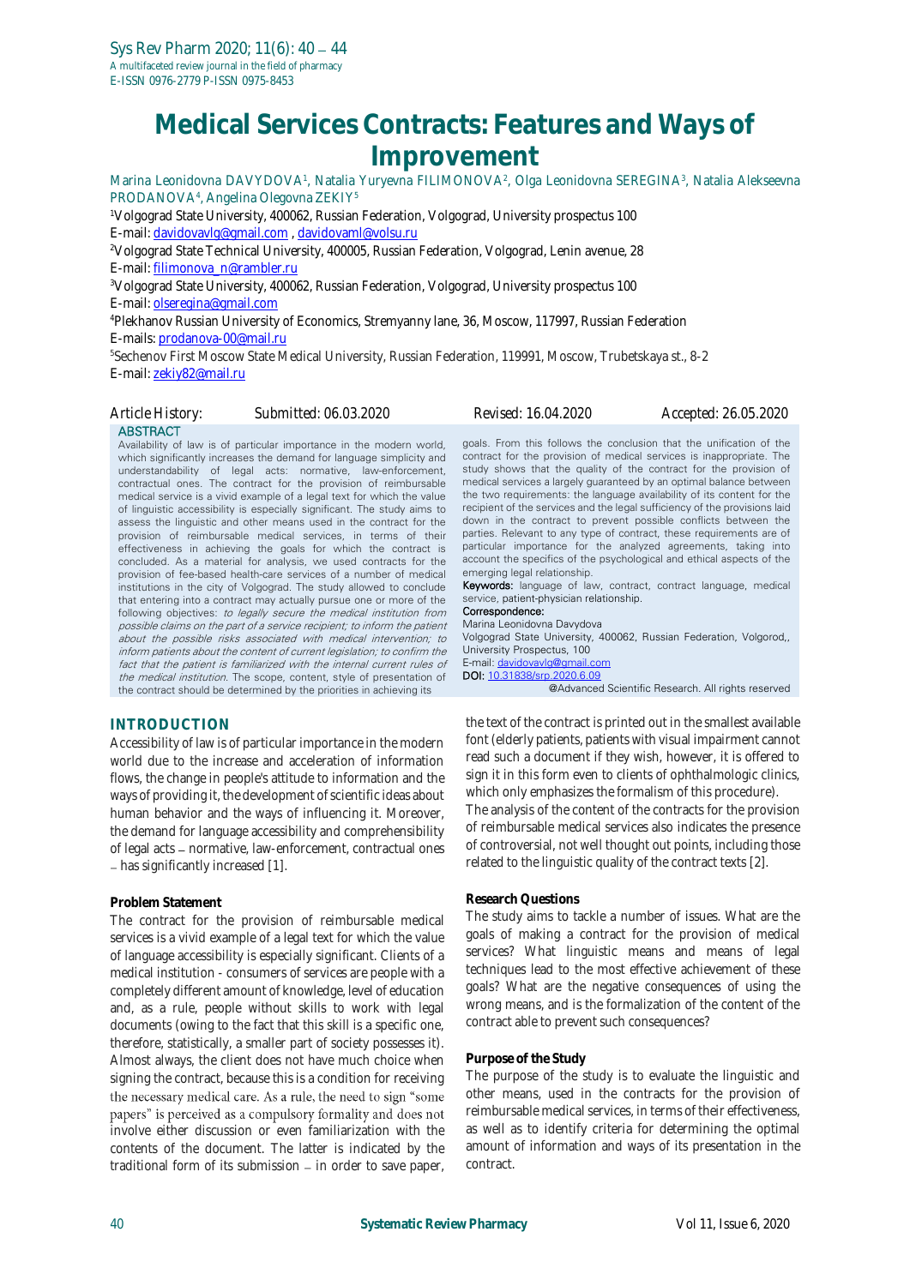# **Medical Services Contracts: Features and Ways of Improvement**

Marina Leonidovna DAVYDOVA<sup>1</sup>, Natalia Yuryevna FILIMONOVA<sup>2</sup>, Olga Leonidovna SEREGINA<sup>3</sup>, Natalia Alekseevna PRODANOVA<sup>4</sup>, Angelina Olegovna ZEKIY<sup>5</sup>

<sup>1</sup>Volgograd State University, 400062, Russian Federation, Volgograd, University prospectus 100 E-mail[: davidovavlg@gmail.com](mailto:davidovavlg@gmail.com) , [davidovaml@volsu.ru](mailto:davidovaml@volsu.ru)

<sup>2</sup>Volgograd State Technical University, 400005, Russian Federation, Volgograd, Lenin avenue, 28 E-mail[: filimonova\\_n@rambler.ru](mailto:filimonova_n@rambler.ru)

<sup>3</sup>Volgograd State University, 400062, Russian Federation, Volgograd, University prospectus 100 E-mail[: olseregina@gmail.com](mailto:olseregina@gmail.com)

<sup>4</sup>Plekhanov Russian University of Economics, Stremyanny lane, 36, Moscow, 117997, Russian Federation E-mails[: prodanova-00@mail.ru](mailto:prodanova-00@mail.ru)

<sup>5</sup>Sechenov First Moscow State Medical University, Russian Federation, 119991, Moscow, Trubetskaya st., 8-2 E-mail[: zekiy82@mail.ru](mailto:zekiy82@mail.ru)

*Article History: Submitted: 06.03.2020 Revised: 16.04.2020 Accepted: 26.05.2020*

### **ABSTRACT**

Availability of law is of particular importance in the modern world, which significantly increases the demand for language simplicity and understandability of legal acts: normative, law-enforcement, contractual ones. The contract for the provision of reimbursable medical service is a vivid example of a legal text for which the value of linguistic accessibility is especially significant. The study aims to assess the linguistic and other means used in the contract for the provision of reimbursable medical services, in terms of their effectiveness in achieving the goals for which the contract is concluded. As a material for analysis, we used contracts for the provision of fee-based health-care services of a number of medical institutions in the city of Volgograd. The study allowed to conclude that entering into a contract may actually pursue one or more of the following objectives: to legally secure the medical institution from possible claims on the part of a service recipient; to inform the patient about the possible risks associated with medical intervention; to inform patients about the content of current legislation; to confirm the fact that the patient is familiarized with the internal current rules of the medical institution. The scope, content, style of presentation of the contract should be determined by the priorities in achieving its

#### goals. From this follows the conclusion that the unification of the contract for the provision of medical services is inappropriate. The study shows that the quality of the contract for the provision of medical services a largely guaranteed by an optimal balance between the two requirements: the language availability of its content for the recipient of the services and the legal sufficiency of the provisions laid down in the contract to prevent possible conflicts between the parties. Relevant to any type of contract, these requirements are of particular importance for the analyzed agreements, taking into account the specifics of the psychological and ethical aspects of the emerging legal relationship. Keywords: language of law, contract, contract language, medical service, patient-physician relationship.

Correspondence: Marina Leonidovna Davydova

Volgograd State University, 400062, Russian Federation, Volgorod,, University Prospectus, 100 E-mail[: davidovavlg@gmail.com](mailto:davidovavlg@gmail.com)

DOI: [10.31838/srp.2020.6.09](http://dx.doi.org/10.5530/srp.2019.2.04)

@Advanced Scientific Research. All rights reserved

# **INTRODUCTION**

Accessibility of law is of particular importance in the modern world due to the increase and acceleration of information flows, the change in people's attitude to information and the ways of providing it, the development of scientific ideas about human behavior and the ways of influencing it. Moreover, the demand for language accessibility and comprehensibility of legal acts – normative, law-enforcement, contractual ones - has significantly increased [1].

### **Problem Statement**

The contract for the provision of reimbursable medical services is a vivid example of a legal text for which the value of language accessibility is especially significant. Clients of a medical institution - consumers of services are people with a completely different amount of knowledge, level of education and, as a rule, people without skills to work with legal documents (owing to the fact that this skill is a specific one, therefore, statistically, a smaller part of society possesses it). Almost always, the client does not have much choice when signing the contract, because this is a condition for receiving the necessary medical care. As a rule, the need to sign "some papers" is perceived as a compulsory formality and does not involve either discussion or even familiarization with the contents of the document. The latter is indicated by the traditional form of its submission - in order to save paper,

the text of the contract is printed out in the smallest available font (elderly patients, patients with visual impairment cannot read such a document if they wish, however, it is offered to sign it in this form even to clients of ophthalmologic clinics, which only emphasizes the formalism of this procedure). The analysis of the content of the contracts for the provision of reimbursable medical services also indicates the presence

of controversial, not well thought out points, including those related to the linguistic quality of the contract texts [2].

# **Research Questions**

The study aims to tackle a number of issues. What are the goals of making a contract for the provision of medical services? What linguistic means and means of legal techniques lead to the most effective achievement of these goals? What are the negative consequences of using the wrong means, and is the formalization of the content of the contract able to prevent such consequences?

### **Purpose of the Study**

The purpose of the study is to evaluate the linguistic and other means, used in the contracts for the provision of reimbursable medical services, in terms of their effectiveness, as well as to identify criteria for determining the optimal amount of information and ways of its presentation in the contract.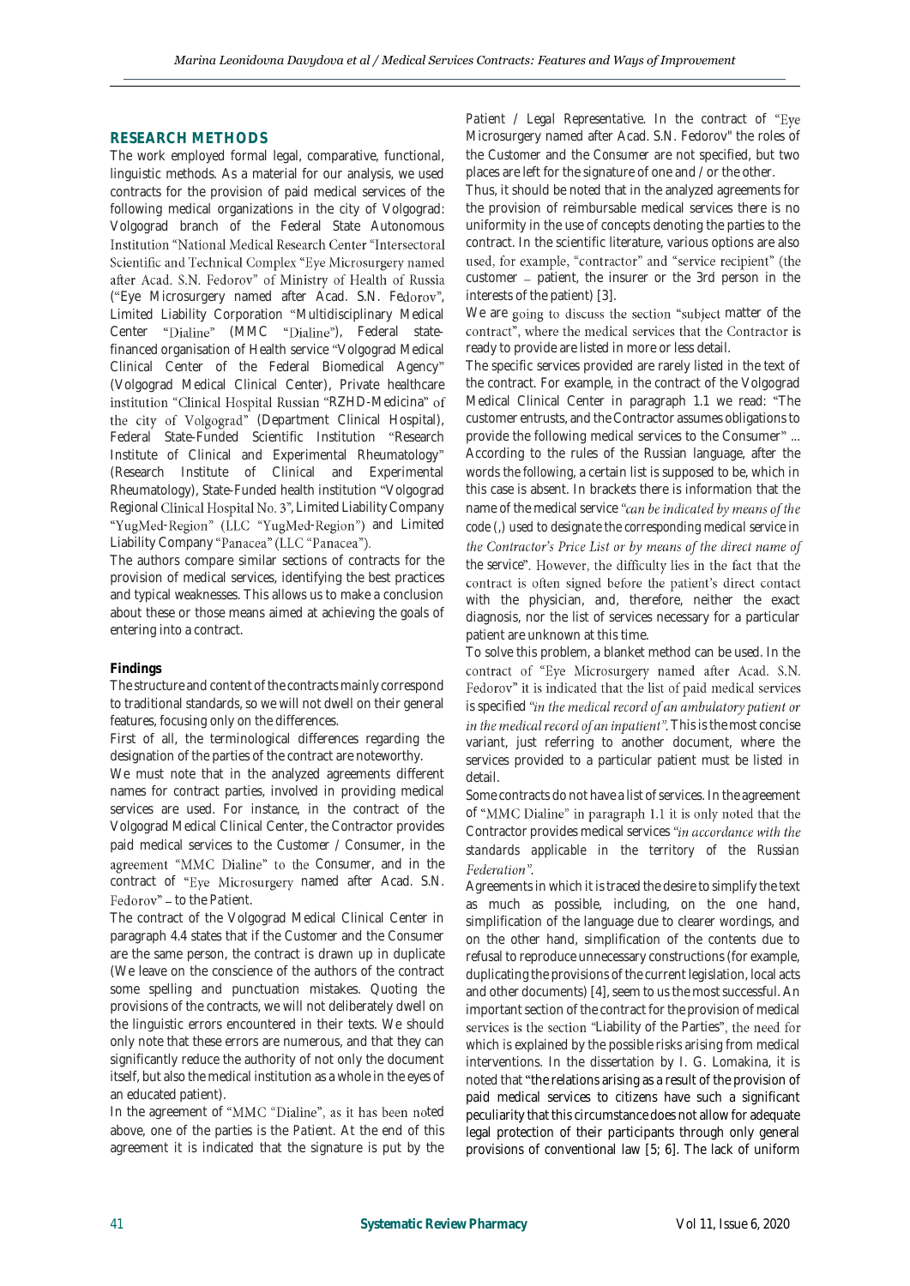# **RESEARCH METHODS**

The work employed formal legal, comparative, functional, linguistic methods. As a material for our analysis, we used contracts for the provision of paid medical services of the following medical organizations in the city of Volgograd: Volgograd branch of the Federal State Autonomous Institution "National Medical Research Center "Intersectoral Scientific and Technical Complex "Eye Microsurgery named after Acad. S.N. Fedorov" of Ministry of Health of Russia ("Eye Microsurgery named after Acad. S.N. Fedorov", Limited Liability Corporation "Multidisciplinary Medical Center "Dialine" (MMC "Dialine"), Federal [state](https://wooordhunt.ru/word/state)[financed](https://wooordhunt.ru/word/financed) [organisation](https://wooordhunt.ru/word/organisation) of Health service Volgograd Medical Clinical Center of the Federal Biomedical Agency (Volgograd Medical Clinical Center), Private healthcare institution "Clinical Hospital Russian "RZHD-Medicina" of the city of Volgograd" (Department Clinical Hospital), Federal State-Funded Scientific Institution "Research Institute of Clinical and Experimental Rheumatology (Research Institute of Clinical and Experimental Rheumatology), State-Funded health institution "Volgograd Regional Clinical Hospital No. 3"[, Limited Liability Company](https://www.translate.ru/dictionary/en-ru/limited%20liability%20company) "YugMed-Region" (LLC "YugMed-Region") and Limited [Liability Company](https://www.translate.ru/dictionary/en-ru/limited%20liability%20company) "Panacea" (LLC "Panacea").

The authors compare similar sections of contracts for the provision of medical services, identifying the best practices and typical weaknesses. This allows us to make a conclusion about these or those means aimed at achieving the goals of entering into a contract.

### **Findings**

The structure and content of the contracts mainly correspond to traditional standards, so we will not dwell on their general features, focusing only on the differences.

First of all, the terminological differences regarding the designation of the parties of the contract are noteworthy.

We must note that in the analyzed agreements different names for contract parties, involved in providing medical services are used. For instance, in the contract of the Volgograd Medical Clinical Center, the Contractor provides paid medical services to the *Customer / Consumer*, in the agreement "MMC Dialine" to the Consumer, and in the contract of "Eye Microsurgery named after Acad. S.N. Fedorov" - to the *Patient*.

The contract of the Volgograd Medical Clinical Center in paragraph 4.4 states that if the *Customer* and the *Consumer* are the same person, the contract is drawn up in duplicate (We leave on the conscience of the authors of the contract some spelling and punctuation mistakes. Quoting the provisions of the contracts, we will not deliberately dwell on the linguistic errors encountered in their texts. We should only note that these errors are numerous, and that they can significantly reduce the authority of not only the document itself, but also the medical institution as a whole in the eyes of an educated patient).

In the agreement of "MMC "Dialine", as it has been noted above, one of the parties is the *Patient*. At the end of this agreement it is indicated that the signature is put by the

*Patient* / *Legal Representative*. In the contract of Microsurgery named after Acad. S.N. Fedorov" the roles of the *Custome*r and the *Consumer* are not specified, but two places are left for the signature of one and / or the other.

Thus, it should be noted that in the analyzed agreements for the provision of reimbursable medical services there is no uniformity in the use of concepts denoting the parties to the contract. In the scientific literature, various options are also used, for example, "contractor" and "service recipient" (the customer – patient, the insurer or the 3rd person in the interests of the patient) [3].

We are going to discuss the section "subject matter of the contract", where the medical services that the Contractor is ready to provide are listed in more or less detail.

The specific services provided are rarely listed in the text of the contract. For example, in the contract of the Volgograd Medical Clinical Center in paragraph 1.1 we read: "The customer entrusts, and the Contractor assumes obligations to provide the following medical services to the Consumer"... According to the rules of the Russian language, after the words *the following*, a certain list is supposed to be, which in this case is absent. In brackets there is information that the name of the medical service "can be indicated by means of the *code (,) used to designate the corresponding medical service in*  the Contractor's Price List or by means of the direct name of *the service*". However, the difficulty lies in the fact that the contract is often signed before the patient's direct contact with the physician, and, therefore, neither the exact diagnosis, nor the list of services necessary for a particular patient are unknown at this time.

To solve this problem, a blanket method can be used. In the contract of "Eye Microsurgery named after Acad. S.N. Fedorov" it is indicated that the list of paid medical services is specified "in the medical record of an ambulatory patient or in the medical record of an inpatient". This is the most concise variant, just referring to another document, where the services provided to a particular patient must be listed in detail.

Some contracts do not have a list of services. In the agreement of "MMC Dialine" in paragraph 1.1 it is only noted that the Contractor provides medical services "in accordance with the *standards applicable in the territory of the Russian*  Federation".

Agreements in which it is traced the desire to simplify the text as much as possible, including, on the one hand, simplification of the language due to clearer wordings, and on the other hand, simplification of the contents due to refusal to reproduce unnecessary constructions (for example, duplicating the provisions of the current legislation, local acts and other documents) [4], seem to us the most successful. An important section of the contract for the provision of medical services is the section "Liability of the Parties", the need for which is explained by the possible risks arising from medical interventions. In the dissertation by I. G. Lomakina, it is noted that "the relations arising as a result of the provision of paid medical services to citizens have such a significant peculiarity that this circumstance does not allow for adequate legal protection of their participants through only general provisions of conventional law [5; 6]. The lack of uniform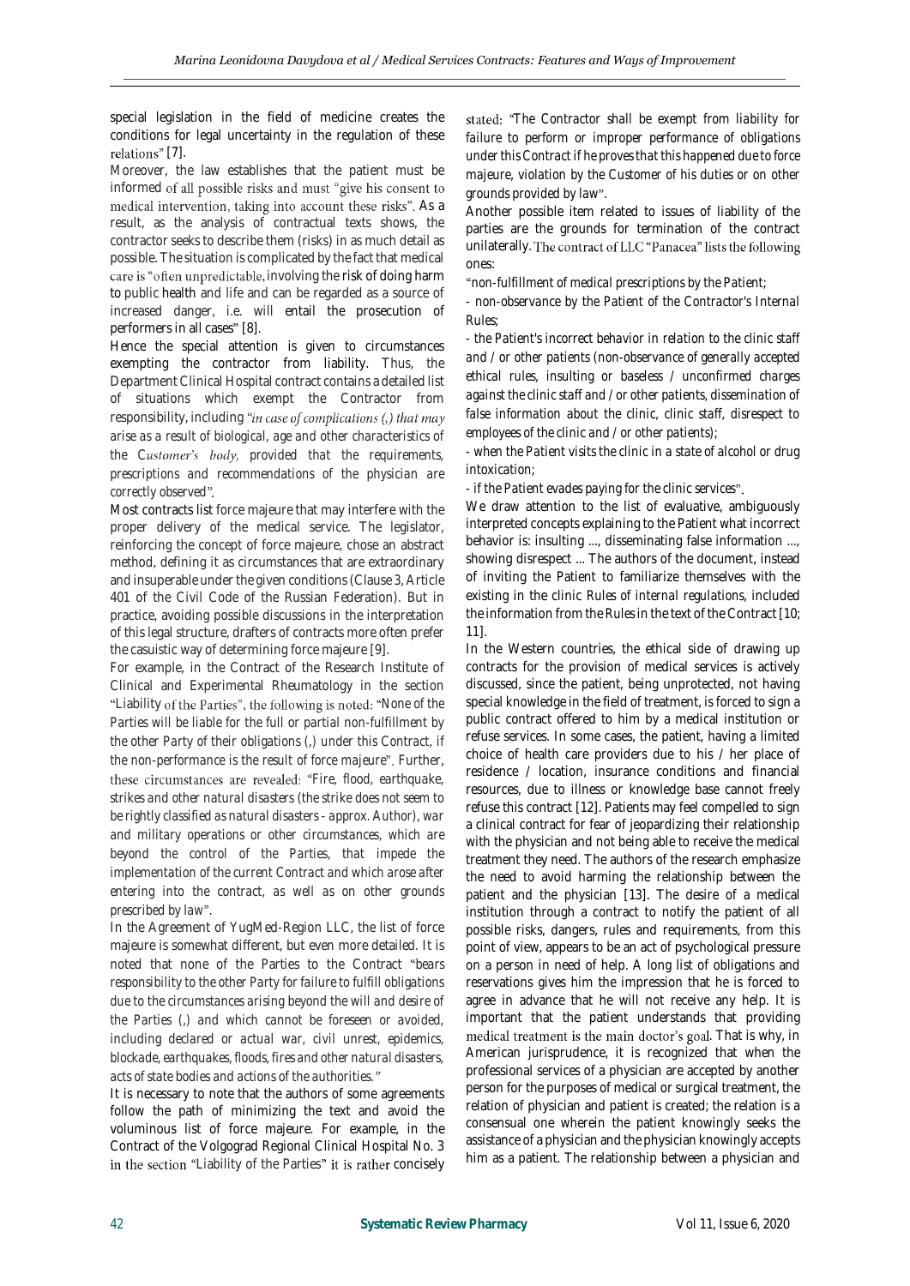special legislation in the field of medicine creates the conditions for legal uncertainty in the regulation of these relations" [7].

Moreover, the law establishes that the patient must be informed of all possible risks and must "give his consent to medical intervention, taking into account these risks". As a result, as the analysis of contractual texts shows, the contractor seeks to describe them (risks) in as much detail as possible. The situation is complicated by the fact that medical care is "often unpredictable, involving the risk of doing harm [to](https://context.reverso.net/%D0%BF%D0%B5%D1%80%D0%B5%D0%B2%D0%BE%D0%B4/%D0%B0%D0%BD%D0%B3%D0%BB%D0%B8%D0%B9%D1%81%D0%BA%D0%B8%D0%B9-%D1%80%D1%83%D1%81%D1%81%D0%BA%D0%B8%D0%B9/risk+of+harm+to) public [health](https://context.reverso.net/%D0%BF%D0%B5%D1%80%D0%B5%D0%B2%D0%BE%D0%B4/%D0%B0%D0%BD%D0%B3%D0%BB%D0%B8%D0%B9%D1%81%D0%BA%D0%B8%D0%B9-%D1%80%D1%83%D1%81%D1%81%D0%BA%D0%B8%D0%B9/health) and life and can be regarded as a source of increased danger, i.e. will entail the prosecution of performers in all cases" [8].

Hence the special attention is given to circumstances exempting the contractor from liability. Thus, the Department Clinical Hospital contract contains a detailed list of situations which exempt the Contractor from responsibility, including "in case of complications (,) that may *arise as a result of biological, age and other characteristics of the Customer's body, provided that the requirements, prescriptions and recommendations of the physician are correctly observed*

Most contracts list force majeure that may interfere with the proper delivery of the medical service. The legislator, reinforcing the concept of force majeure, chose an abstract method, defining it as circumstances that are extraordinary and insuperable under the given conditions (Clause 3, Article 401 of the Civil Code of the Russian Federation). But in practice, avoiding possible discussions in the interpretation of this legal structure, drafters of contracts more often prefer the casuistic way of determining force majeure [9].

For example, in the Contract of the Research Institute of Clinical and Experimental Rheumatology in the section "Liability of the Parties", the following is noted: "None of the *Parties will be liable for the full or partial non-fulfillment by the other Party of their obligations (,) under this Contract, if the non-performance is the result of force majeure*". Further, *Fire, flood, earthquake, strikes and other natural disasters (the strike does not seem to be rightly classified as natural disasters - approx. Author), war and military operations or other circumstances, which are beyond the control of the Parties, that impede the implementation of the current Contract and which arose after entering into the contract, as well as on other grounds prescribed by law* .

In the Agreement of YugMed-Region LLC, the list of force majeure is somewhat different, but even more detailed. It is noted that none of the Parties to the Contract *bears responsibility to the other Party for failure to fulfill obligations due to the circumstances arising beyond the will and desire of the Parties (,) and which cannot be foreseen or avoided, including declared or actual war, civil unrest, epidemics, blockade, earthquakes, floods, fires and other natural disasters, acts of state bodies and actions of the authorities.*

It is necessary to note that the authors of some agreements follow the path of minimizing the text and avoid the voluminous list of force majeure. For example, in the Contract of the Volgograd Regional Clinical Hospital No. 3 in the section "Liability of the Parties" it is rather concisely

*The Contractor shall be exempt from liability for failure to perform or improper performance of obligations under this Contract if he proves that this happened due to force majeure, violation by the Customer of his duties or on other grounds provided by law* .

Another possible item related to issues of liability of the parties are the grounds for termination of the contract unilaterally. The contract of LLC "Panacea" lists the following ones:

*non-fulfillment of medical prescriptions by the Patient;*

*- non-observance by the Patient of the Contractor's Internal Rules;*

*- the Patient's incorrect behavior in relation to the clinic staff and / or other patients (non-observance of generally accepted ethical rules, insulting or baseless / unconfirmed charges against the clinic staff and / or other patients, dissemination of false information about the clinic, clinic staff, disrespect to employees of the clinic and / or other patients);*

*- when the Patient visits the clinic in a state of alcohol or drug intoxication;*

*- if the Patient evades paying for the clinic services*

We draw attention to the list of evaluative, ambiguously interpreted concepts explaining to the Patient what incorrect behavior is: insulting ..., disseminating false information ..., showing disrespect ... The authors of the document, instead of inviting the Patient to familiarize themselves with the existing in the clinic *Rules of internal regulations*, included the information from the *Rules* in the text of the Contract [10; 11].

In the Western countries, the ethical side of drawing up contracts for the provision of medical services is actively discussed, since the patient, being unprotected, not having special knowledge in the field of treatment, is forced to sign a public contract offered to him by a medical institution or refuse services. In some cases, the patient, having a limited choice of health care providers due to his / her place of residence / location, insurance conditions and financial resources, due to illness or knowledge base cannot freely refuse this contract [12]. Patients may feel compelled to sign a clinical contract for fear of jeopardizing their relationship with the physician and not being able to receive the medical treatment they need. The authors of the research emphasize the need to avoid harming the relationship between the patient and the physician [13]. The desire of a medical institution through a contract to notify the patient of all possible risks, dangers, rules and requirements, from this point of view, appears to be an act of psychological pressure on a person in need of help. A long list of obligations and reservations gives him the impression that he is forced to agree in advance that he will not receive any help. It is important that the patient understands that providing medical treatment is the main doctor's goal. That is why, in American jurisprudence, it is recognized that when the professional services of a physician are accepted by another person for the purposes of medical or surgical treatment, the relation of physician and patient is created; the relation is a consensual one wherein the patient knowingly seeks the assistance of a physician and the physician knowingly accepts him as a patient. The relationship between a physician and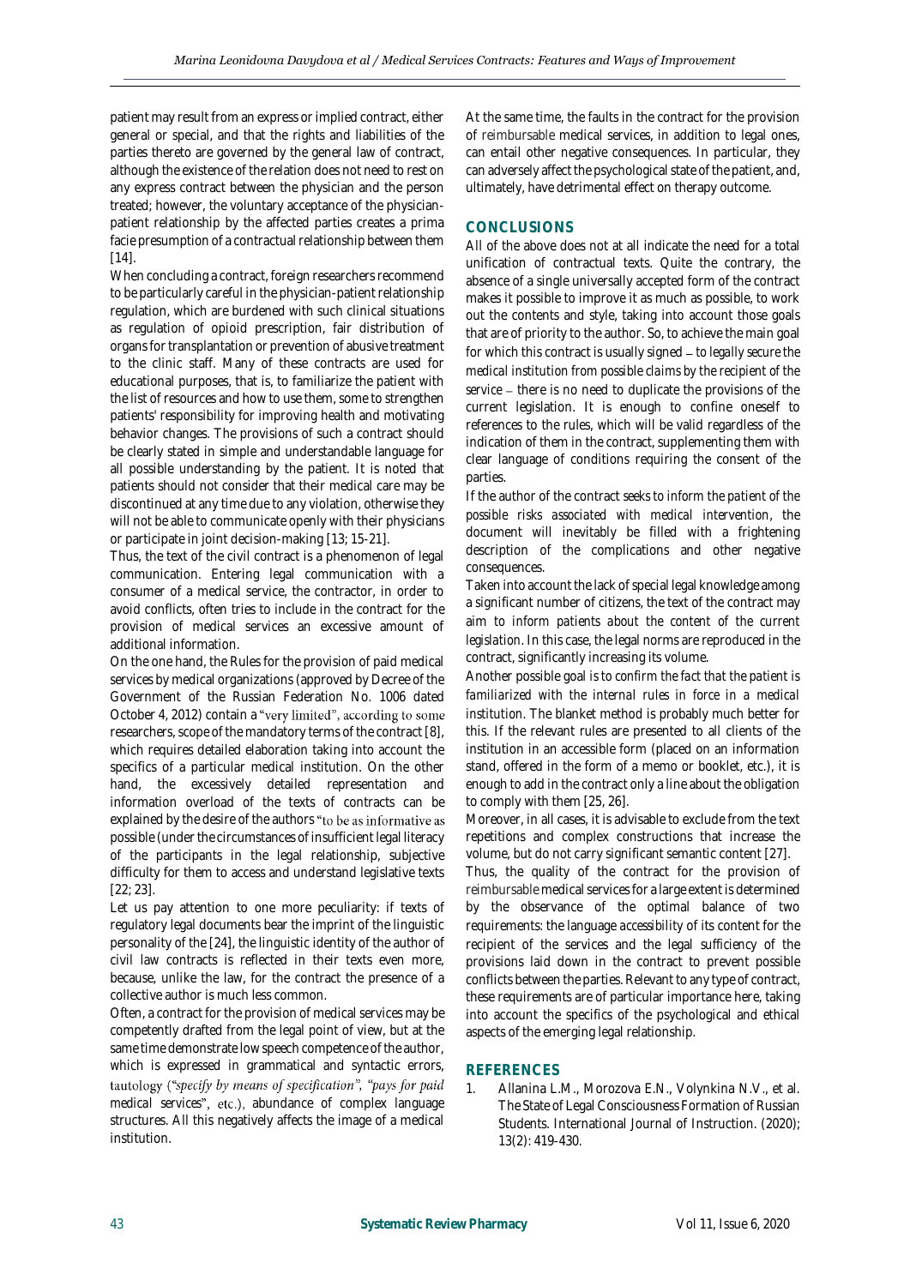patient may result from an express or implied contract, either general or special, and that the rights and liabilities of the parties thereto are governed by the general law of contract, although the existence of the relation does not need to rest on any express contract between the physician and the person treated; however, the voluntary acceptance of the physicianpatient relationship by the affected parties creates a prima facie presumption of a contractual relationship between them  $[14]$ 

When concluding a contract, foreign researchers recommend to be particularly careful in the physician-patient relationship regulation, which are burdened with such clinical situations as regulation of opioid prescription, fair distribution of organs for transplantation or prevention of abusive treatment to the clinic staff. Many of these contracts are used for educational purposes, that is, to familiarize the patient with the list of resources and how to use them, some to strengthen patients' responsibility for improving health and motivating behavior changes. The provisions of such a contract should be clearly stated in simple and understandable language for all possible understanding by the patient. It is noted that patients should not consider that their medical care may be discontinued at any time due to any violation, otherwise they will not be able to communicate openly with their physicians or participate in joint decision-making [13; 15-21].

Thus, the text of the civil contract is a phenomenon of legal communication. Entering legal communication with a consumer of a medical service, the contractor, in order to avoid conflicts, often tries to include in the contract for the provision of medical services an excessive amount of additional information.

On the one hand, the Rules for the provision of paid medical services by medical organizations (approved by Decree of the Government of the Russian Federation No. 1006 dated October 4, 2012) contain a "very limited", according to some researchers, scope of the mandatory terms of the contract [8], which requires detailed elaboration taking into account the specifics of a particular medical institution. On the other hand, the excessively detailed representation and information overload of the texts of contracts can be explained by the desire of the authors "to be as informative as possible (under the circumstances of insufficient legal literacy of the participants in the legal relationship, subjective difficulty for them to access and understand legislative texts [22; 23].

Let us pay attention to one more peculiarity: if texts of regulatory legal documents bear the imprint of the linguistic personality of the [24], the linguistic identity of the author of civil law contracts is reflected in their texts even more, because, unlike the law, for the contract the presence of a collective author is much less common.

Often, a contract for the provision of medical services may be competently drafted from the legal point of view, but at the same time demonstrate low speech competence of the author, which is expressed in grammatical and syntactic errors, tautology ("specify by means of specification", "pays for paid *medical services*", etc.), abundance of complex language structures. All this negatively affects the image of a medical institution.

At the same time, the faults in the contract for the provision of reimbursable medical services, in addition to legal ones, can entail other negative consequences. In particular, they can adversely affect the psychological state of the patient, and, ultimately, have detrimental effect o[n therapy outcome.](https://context.reverso.net/%D0%BF%D0%B5%D1%80%D0%B5%D0%B2%D0%BE%D0%B4/%D0%B0%D0%BD%D0%B3%D0%BB%D0%B8%D0%B9%D1%81%D0%BA%D0%B8%D0%B9-%D1%80%D1%83%D1%81%D1%81%D0%BA%D0%B8%D0%B9/therapy+success)

# **CONCLUSIONS**

All of the above does not at all indicate the need for a total unification of contractual texts. Quite the contrary, the absence of a single universally accepted form of the contract makes it possible to improve it as much as possible, to work out the contents and style, taking into account those goals that are of priority to the author. So, to achieve the main goal for which this contract is usually signed *to legally secure the medical institution from possible claims by the recipient of the*  service - there is no need to duplicate the provisions of the current legislation. It is enough to confine oneself to references to the rules, which will be valid regardless of the indication of them in the contract, supplementing them with clear language of conditions requiring the consent of the parties.

If the author of the contract *seeks to inform the patient of the possible risks associated with medical intervention*, the document will inevitably be filled with a frightening description of the complications and other negative consequences.

Taken into account the lack of special legal knowledge among a significant number of citizens, the text of the contract may aim *to inform patients about the content of the current legislation*. In this case, the legal norms are reproduced in the contract, significantly increasing its volume.

Another possible goal *is to confirm the fact that the patient is familiarized with the internal rules in force in a medical institution*. The blanket method is probably much better for this. If the relevant rules are presented to all clients of the institution in an accessible form (placed on an information stand, offered in the form of a memo or booklet, etc.), it is enough to add in the contract only a line about the obligation to comply with them [25, 26].

Moreover, in all cases, it is advisable to exclude from the text repetitions and complex constructions that increase the volume, but do not carry significant semantic content [27].

Thus, the quality of the contract for the provision of reimbursable medical services for a large extent is determined by the observance of the optimal balance of two requirements: the language *accessibility* of its content for the recipient of the services and the legal *sufficiency* of the provisions laid down in the contract to prevent possible conflicts between the parties. Relevant to any type of contract, these requirements are of particular importance here, taking into account the specifics of the psychological and ethical aspects of the emerging legal relationship.

# **REFERENCES**

1. Allanina L.M., Morozova E.N., Volynkina N.V., et al. The State of Legal Consciousness Formation of Russian Students. International Journal of Instruction. (2020); 13(2): 419-430.